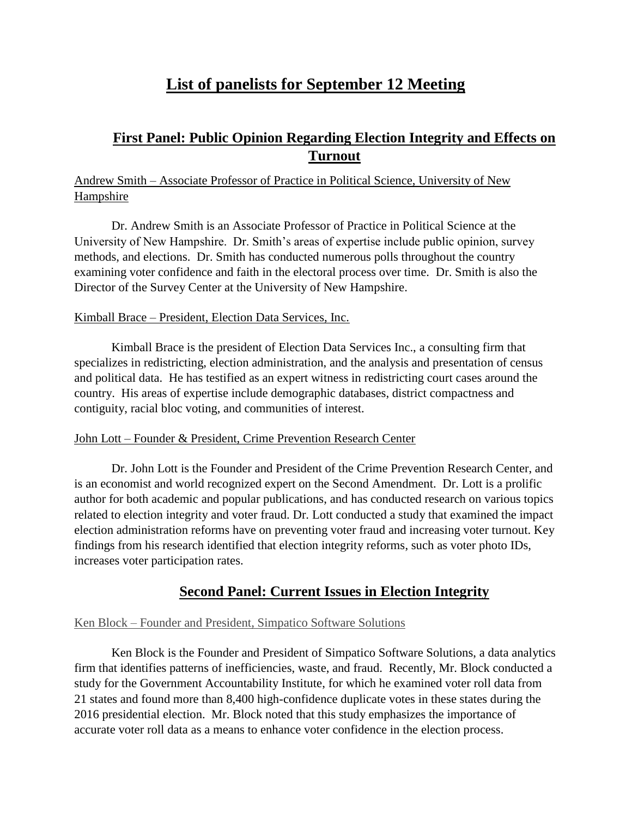# **List of panelists for September 12 Meeting**

# **First Panel: Public Opinion Regarding Election Integrity and Effects on Turnout**

#### Andrew Smith – Associate Professor of Practice in Political Science, University of New Hampshire

Dr. Andrew Smith is an Associate Professor of Practice in Political Science at the University of New Hampshire. Dr. Smith's areas of expertise include public opinion, survey methods, and elections. Dr. Smith has conducted numerous polls throughout the country examining voter confidence and faith in the electoral process over time. Dr. Smith is also the Director of the Survey Center at the University of New Hampshire.

#### Kimball Brace – President, Election Data Services, Inc.

Kimball Brace is the president of Election Data Services Inc., a consulting firm that specializes in redistricting, election administration, and the analysis and presentation of census and political data. He has testified as an expert witness in redistricting court cases around the country. His areas of expertise include demographic databases, district compactness and contiguity, racial bloc voting, and communities of interest.

#### John Lott – Founder & President, Crime Prevention Research Center

Dr. John Lott is the Founder and President of the Crime Prevention Research Center, and is an economist and world recognized expert on the Second Amendment. Dr. Lott is a prolific author for both academic and popular publications, and has conducted research on various topics related to election integrity and voter fraud. Dr. Lott conducted a study that examined the impact election administration reforms have on preventing voter fraud and increasing voter turnout. Key findings from his research identified that election integrity reforms, such as voter photo IDs, increases voter participation rates.

## **Second Panel: Current Issues in Election Integrity**

#### Ken Block – Founder and President, Simpatico Software Solutions

Ken Block is the Founder and President of Simpatico Software Solutions, a data analytics firm that identifies patterns of inefficiencies, waste, and fraud. Recently, Mr. Block conducted a study for the Government Accountability Institute, for which he examined voter roll data from 21 states and found more than 8,400 high-confidence duplicate votes in these states during the 2016 presidential election. Mr. Block noted that this study emphasizes the importance of accurate voter roll data as a means to enhance voter confidence in the election process.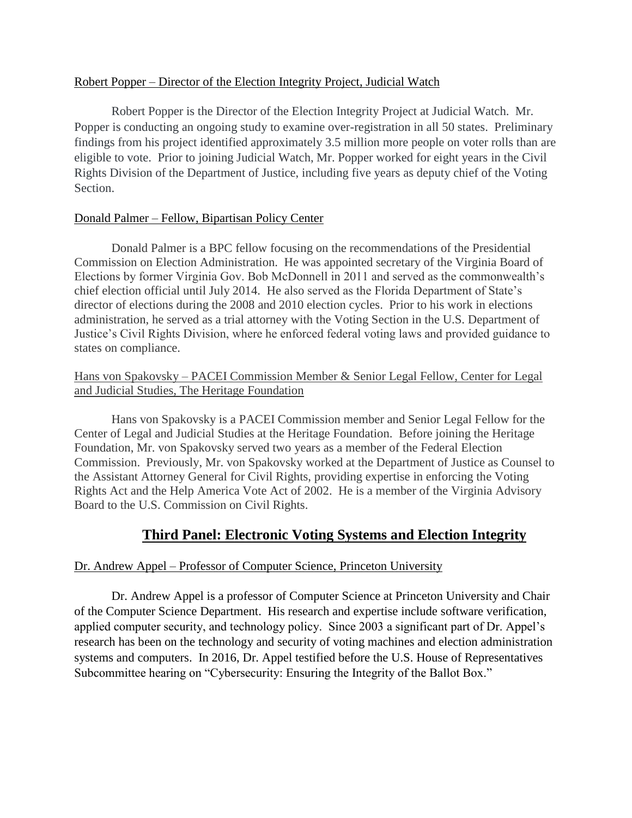#### Robert Popper – Director of the Election Integrity Project, Judicial Watch

Robert Popper is the Director of the Election Integrity Project at Judicial Watch. Mr. Popper is conducting an ongoing study to examine over-registration in all 50 states. Preliminary findings from his project identified approximately 3.5 million more people on voter rolls than are eligible to vote. Prior to joining Judicial Watch, Mr. Popper worked for eight years in the Civil Rights Division of the Department of Justice, including five years as deputy chief of the Voting Section.

#### Donald Palmer – Fellow, Bipartisan Policy Center

Donald Palmer is a BPC fellow focusing on the recommendations of the Presidential Commission on Election Administration. He was appointed secretary of the Virginia Board of Elections by former Virginia Gov. Bob McDonnell in 2011 and served as the commonwealth's chief election official until July 2014. He also served as the Florida Department of State's director of elections during the 2008 and 2010 election cycles. Prior to his work in elections administration, he served as a trial attorney with the Voting Section in the U.S. Department of Justice's Civil Rights Division, where he enforced federal voting laws and provided guidance to states on compliance.

#### Hans von Spakovsky – PACEI Commission Member & Senior Legal Fellow, Center for Legal and Judicial Studies, The Heritage Foundation

Hans von Spakovsky is a PACEI Commission member and Senior Legal Fellow for the Center of Legal and Judicial Studies at the Heritage Foundation. Before joining the Heritage Foundation, Mr. von Spakovsky served two years as a member of the Federal Election Commission. Previously, Mr. von Spakovsky worked at the Department of Justice as Counsel to the Assistant Attorney General for Civil Rights, providing expertise in enforcing the Voting Rights Act and the Help America Vote Act of 2002. He is a member of the Virginia Advisory Board to the U.S. Commission on Civil Rights.

## **Third Panel: Electronic Voting Systems and Election Integrity**

#### Dr. Andrew Appel – Professor of Computer Science, Princeton University

Dr. Andrew Appel is a professor of Computer Science at Princeton University and Chair of the Computer Science Department. His research and expertise include software verification, applied computer security, and technology policy. Since 2003 a significant part of Dr. Appel's research has been on the technology and security of voting machines and election administration systems and computers. In 2016, Dr. Appel testified before the U.S. House of Representatives Subcommittee hearing on "Cybersecurity: Ensuring the Integrity of the Ballot Box."